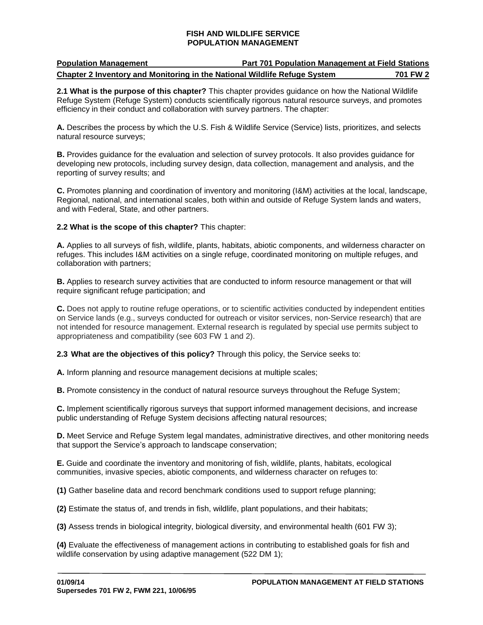| <b>Population Management</b>                                              | <b>Part 701 Population Management at Field Stations</b> |          |
|---------------------------------------------------------------------------|---------------------------------------------------------|----------|
| Chapter 2 Inventory and Monitoring in the National Wildlife Refuge System |                                                         | 701 FW 2 |

**2.1 What is the purpose of this chapter?** This chapter provides guidance on how the National Wildlife Refuge System (Refuge System) conducts scientifically rigorous natural resource surveys, and promotes efficiency in their conduct and collaboration with survey partners. The chapter:

**A.** Describes the process by which the U.S. Fish & Wildlife Service (Service) lists, prioritizes, and selects natural resource surveys;

**B.** Provides guidance for the evaluation and selection of survey protocols. It also provides guidance for developing new protocols, including survey design, data collection, management and analysis, and the reporting of survey results; and

**C.** Promotes planning and coordination of inventory and monitoring (I&M) activities at the local, landscape, Regional, national, and international scales, both within and outside of Refuge System lands and waters, and with Federal, State, and other partners.

### **2.2 What is the scope of this chapter?** This chapter:

**A.** Applies to all surveys of fish, wildlife, plants, habitats, abiotic components, and wilderness character on refuges. This includes I&M activities on a single refuge, coordinated monitoring on multiple refuges, and collaboration with partners;

**B.** Applies to research survey activities that are conducted to inform resource management or that will require significant refuge participation; and

**C.** Does not apply to routine refuge operations, or to scientific activities conducted by independent entities on Service lands (e.g., surveys conducted for outreach or visitor services, non-Service research) that are not intended for resource management. External research is regulated by special use permits subject to appropriateness and compatibility (see 603 FW 1 and 2).

**2.3 What are the objectives of this policy?** Through this policy, the Service seeks to:

**A.** Inform planning and resource management decisions at multiple scales;

**B.** Promote consistency in the conduct of natural resource surveys throughout the Refuge System;

**C.** Implement scientifically rigorous surveys that support informed management decisions, and increase public understanding of Refuge System decisions affecting natural resources;

**D.** Meet Service and Refuge System legal mandates, administrative directives, and other monitoring needs that support the Service's approach to landscape conservation;

**E.** Guide and coordinate the inventory and monitoring of fish, wildlife, plants, habitats, ecological communities, invasive species, abiotic components, and wilderness character on refuges to:

**(1)** Gather baseline data and record benchmark conditions used to support refuge planning;

**(2)** Estimate the status of, and trends in fish, wildlife, plant populations, and their habitats;

**(3)** Assess trends in biological integrity, biological diversity, and environmental health (601 FW 3);

**(4)** Evaluate the effectiveness of management actions in contributing to established goals for fish and wildlife conservation by using adaptive management (522 DM 1);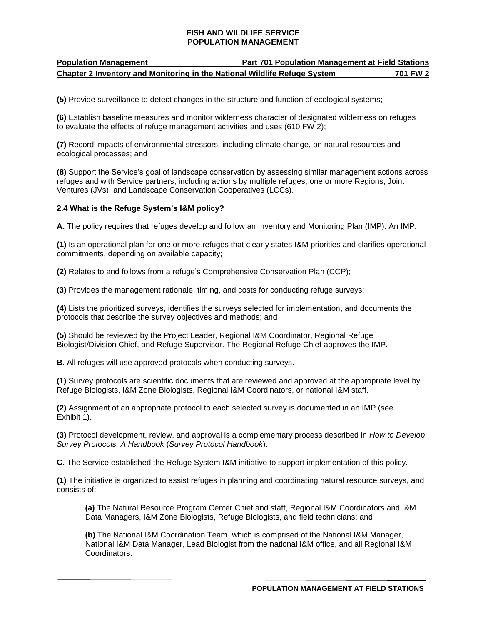# **Population Management Part 701 Population Management at Field Stations Chapter 2 Inventory and Monitoring in the National Wildlife Refuge System 701 FW 2**

**(5)** Provide surveillance to detect changes in the structure and function of ecological systems;

**(6)** Establish baseline measures and monitor wilderness character of designated wilderness on refuges to evaluate the effects of refuge management activities and uses (610 FW 2);

**(7)** Record impacts of environmental stressors, including climate change, on natural resources and ecological processes; and

**(8)** Support the Service's goal of landscape conservation by assessing similar management actions across refuges and with Service partners, including actions by multiple refuges, one or more Regions, Joint Ventures (JVs), and Landscape Conservation Cooperatives (LCCs).

### **2.4 What is the Refuge System's I&M policy?**

**A.** The policy requires that refuges develop and follow an Inventory and Monitoring Plan (IMP). An IMP:

**(1)** Is an operational plan for one or more refuges that clearly states I&M priorities and clarifies operational commitments, depending on available capacity;

**(2)** Relates to and follows from a refuge's Comprehensive Conservation Plan (CCP);

**(3)** Provides the management rationale, timing, and costs for conducting refuge surveys;

**(4)** Lists the prioritized surveys, identifies the surveys selected for implementation, and documents the protocols that describe the survey objectives and methods; and

**(5)** Should be reviewed by the Project Leader, Regional I&M Coordinator, Regional Refuge Biologist/Division Chief, and Refuge Supervisor. The Regional Refuge Chief approves the IMP.

**B.** All refuges will use approved protocols when conducting surveys.

**(1)** Survey protocols are scientific documents that are reviewed and approved at the appropriate level by Refuge Biologists, I&M Zone Biologists, Regional I&M Coordinators, or national I&M staff.

**(2)** Assignment of an appropriate protocol to each selected survey is documented in an IMP (see Exhibit 1).

**(3)** Protocol development, review, and approval is a complementary process described in *How to Develop Survey Protocols: A Handbook* (*Survey Protocol Handbook*).

**C.** The Service established the Refuge System I&M initiative to support implementation of this policy.

**(1)** The initiative is organized to assist refuges in planning and coordinating natural resource surveys, and consists of:

**(a)** The Natural Resource Program Center Chief and staff, Regional I&M Coordinators and I&M Data Managers, I&M Zone Biologists, Refuge Biologists, and field technicians; and

**(b)** The National I&M Coordination Team, which is comprised of the National I&M Manager, National I&M Data Manager, Lead Biologist from the national I&M office, and all Regional I&M Coordinators.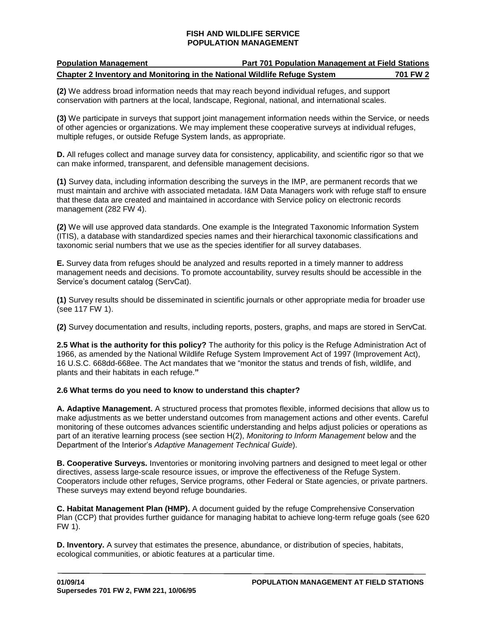| <b>Population Management</b>                                              | <b>Part 701 Population Management at Field Stations</b> |          |
|---------------------------------------------------------------------------|---------------------------------------------------------|----------|
| Chapter 2 Inventory and Monitoring in the National Wildlife Refuge System |                                                         | 701 FW 2 |

**(2)** We address broad information needs that may reach beyond individual refuges, and support conservation with partners at the local, landscape, Regional, national, and international scales.

**(3)** We participate in surveys that support joint management information needs within the Service, or needs of other agencies or organizations. We may implement these cooperative surveys at individual refuges, multiple refuges, or outside Refuge System lands, as appropriate.

**D.** All refuges collect and manage survey data for consistency, applicability, and scientific rigor so that we can make informed, transparent, and defensible management decisions.

**(1)** Survey data, including information describing the surveys in the IMP, are permanent records that we must maintain and archive with associated metadata. I&M Data Managers work with refuge staff to ensure that these data are created and maintained in accordance with Service policy on electronic records management (282 FW 4).

**(2)** We will use approved data standards. One example is the Integrated Taxonomic Information System (ITIS), a database with standardized species names and their hierarchical taxonomic classifications and taxonomic serial numbers that we use as the species identifier for all survey databases.

**E.** Survey data from refuges should be analyzed and results reported in a timely manner to address management needs and decisions. To promote accountability, survey results should be accessible in the Service's document catalog (ServCat).

**(1)** Survey results should be disseminated in scientific journals or other appropriate media for broader use (see 117 FW 1).

**(2)** Survey documentation and results, including reports, posters, graphs, and maps are stored in ServCat.

**2.5 What is the authority for this policy?** The authority for this policy is the Refuge Administration Act of 1966, as amended by the National Wildlife Refuge System Improvement Act of 1997 (Improvement Act), 16 U.S.C. 668dd-668ee. The Act mandates that we "monitor the status and trends of fish, wildlife, and plants and their habitats in each refuge.**"**

### **2.6 What terms do you need to know to understand this chapter?**

**A. Adaptive Management.** A structured process that promotes flexible, informed decisions that allow us to make adjustments as we better understand outcomes from management actions and other events. Careful monitoring of these outcomes advances scientific understanding and helps adjust policies or operations as part of an iterative learning process (see section H(2), *Monitoring to Inform Management* below and the Department of the Interior's *Adaptive Management Technical Guide*).

**B. Cooperative Surveys.** Inventories or monitoring involving partners and designed to meet legal or other directives, assess large-scale resource issues, or improve the effectiveness of the Refuge System. Cooperators include other refuges, Service programs, other Federal or State agencies, or private partners. These surveys may extend beyond refuge boundaries.

**C. Habitat Management Plan (HMP).** A document guided by the refuge Comprehensive Conservation Plan (CCP) that provides further guidance for managing habitat to achieve long-term refuge goals (see 620 FW 1).

**D. Inventory.** A survey that estimates the presence, abundance, or distribution of species, habitats, ecological communities, or abiotic features at a particular time.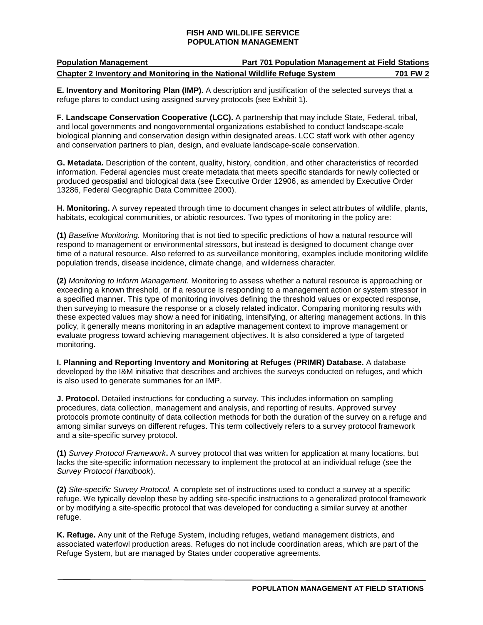| <b>Population Management</b>                                              | <b>Part 701 Population Management at Field Stations</b> |          |
|---------------------------------------------------------------------------|---------------------------------------------------------|----------|
| Chapter 2 Inventory and Monitoring in the National Wildlife Refuge System |                                                         | 701 FW 2 |

**E. Inventory and Monitoring Plan (IMP).** A description and justification of the selected surveys that a refuge plans to conduct using assigned survey protocols (see Exhibit 1).

**F. Landscape Conservation Cooperative (LCC).** A partnership that may include State, Federal, tribal, and local governments and nongovernmental organizations established to conduct landscape-scale biological planning and conservation design within designated areas. LCC staff work with other agency and conservation partners to plan, design, and evaluate landscape-scale conservation.

**G. Metadata.** Description of the content, quality, history, condition, and other characteristics of recorded information. Federal agencies must create metadata that meets specific standards for newly collected or produced geospatial and biological data (see Executive Order 12906, as amended by Executive Order 13286, Federal Geographic Data Committee 2000).

**H. Monitoring.** A survey repeated through time to document changes in select attributes of wildlife, plants, habitats, ecological communities, or abiotic resources. Two types of monitoring in the policy are:

**(1)** *Baseline Monitoring.* Monitoring that is not tied to specific predictions of how a natural resource will respond to management or environmental stressors, but instead is designed to document change over time of a natural resource. Also referred to as surveillance monitoring, examples include monitoring wildlife population trends, disease incidence, climate change, and wilderness character.

**(2)** *Monitoring to Inform Management.* Monitoring to assess whether a natural resource is approaching or exceeding a known threshold, or if a resource is responding to a management action or system stressor in a specified manner. This type of monitoring involves defining the threshold values or expected response, then surveying to measure the response or a closely related indicator. Comparing monitoring results with these expected values may show a need for initiating, intensifying, or altering management actions. In this policy, it generally means monitoring in an adaptive management context to improve management or evaluate progress toward achieving management objectives. It is also considered a type of targeted monitoring.

**I. Planning and Reporting Inventory and Monitoring at Refuges** (**PRIMR) Database.** A database developed by the I&M initiative that describes and archives the surveys conducted on refuges, and which is also used to generate summaries for an IMP.

**J. Protocol.** Detailed instructions for conducting a survey. This includes information on sampling procedures, data collection, management and analysis, and reporting of results. Approved survey protocols promote continuity of data collection methods for both the duration of the survey on a refuge and among similar surveys on different refuges. This term collectively refers to a survey protocol framework and a site-specific survey protocol.

**(1)** *Survey Protocol Framework***.** A survey protocol that was written for application at many locations, but lacks the site-specific information necessary to implement the protocol at an individual refuge (see the *Survey Protocol Handbook*).

**(2)** *Site-specific Survey Protocol.* A complete set of instructions used to conduct a survey at a specific refuge. We typically develop these by adding site-specific instructions to a generalized protocol framework or by modifying a site-specific protocol that was developed for conducting a similar survey at another refuge.

**K. Refuge.** Any unit of the Refuge System, including refuges, wetland management districts, and associated waterfowl production areas. Refuges do not include coordination areas, which are part of the Refuge System, but are managed by States under cooperative agreements.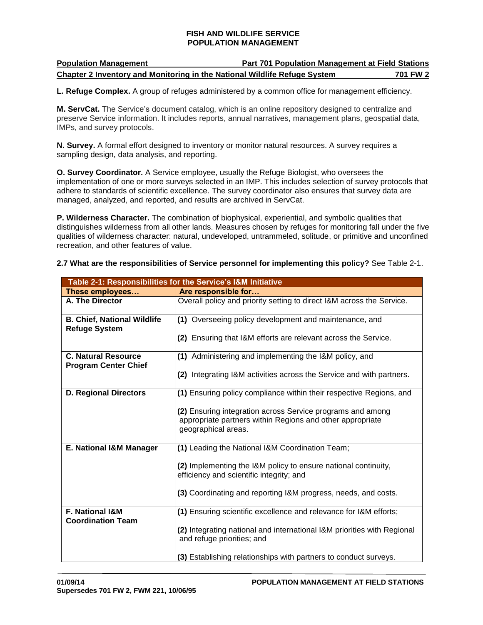| <b>Population Management</b>                                              | <b>Part 701 Population Management at Field Stations</b> |          |
|---------------------------------------------------------------------------|---------------------------------------------------------|----------|
| Chapter 2 Inventory and Monitoring in the National Wildlife Refuge System |                                                         | 701 FW 2 |

**L. Refuge Complex.** A group of refuges administered by a common office for management efficiency.

**M. ServCat.** The Service's document catalog, which is an online repository designed to centralize and preserve Service information. It includes reports, annual narratives, management plans, geospatial data, IMPs, and survey protocols.

**N. Survey.** A formal effort designed to inventory or monitor natural resources. A survey requires a sampling design, data analysis, and reporting.

**O. Survey Coordinator.** A Service employee, usually the Refuge Biologist, who oversees the implementation of one or more surveys selected in an IMP. This includes selection of survey protocols that adhere to standards of scientific excellence. The survey coordinator also ensures that survey data are managed, analyzed, and reported, and results are archived in ServCat.

**P. Wilderness Character.** The combination of biophysical, experiential, and symbolic qualities that distinguishes wilderness from all other lands. Measures chosen by refuges for monitoring fall under the five qualities of wilderness character: natural, undeveloped, untrammeled, solitude, or primitive and unconfined recreation, and other features of value.

| Table 2-1: Responsibilities for the Service's I&M Initiative |                                                                                                                                                |  |
|--------------------------------------------------------------|------------------------------------------------------------------------------------------------------------------------------------------------|--|
| These employees                                              | Are responsible for                                                                                                                            |  |
| A. The Director                                              | Overall policy and priority setting to direct I&M across the Service.                                                                          |  |
| <b>B. Chief, National Wildlife</b><br><b>Refuge System</b>   | (1) Overseeing policy development and maintenance, and                                                                                         |  |
|                                                              | (2) Ensuring that I&M efforts are relevant across the Service.                                                                                 |  |
| <b>C. Natural Resource</b><br><b>Program Center Chief</b>    | (1) Administering and implementing the I&M policy, and                                                                                         |  |
|                                                              | (2) Integrating I&M activities across the Service and with partners.                                                                           |  |
| <b>D. Regional Directors</b>                                 | (1) Ensuring policy compliance within their respective Regions, and                                                                            |  |
|                                                              | (2) Ensuring integration across Service programs and among<br>appropriate partners within Regions and other appropriate<br>geographical areas. |  |
|                                                              |                                                                                                                                                |  |
| E. National I&M Manager                                      | (1) Leading the National I&M Coordination Team;                                                                                                |  |
|                                                              | (2) Implementing the I&M policy to ensure national continuity,<br>efficiency and scientific integrity; and                                     |  |
|                                                              | (3) Coordinating and reporting I&M progress, needs, and costs.                                                                                 |  |
| <b>F. National I&amp;M</b><br><b>Coordination Team</b>       | (1) Ensuring scientific excellence and relevance for I&M efforts;                                                                              |  |
|                                                              | (2) Integrating national and international I&M priorities with Regional<br>and refuge priorities; and                                          |  |
|                                                              | (3) Establishing relationships with partners to conduct surveys.                                                                               |  |

**2.7 What are the responsibilities of Service personnel for implementing this policy?** See Table 2-1.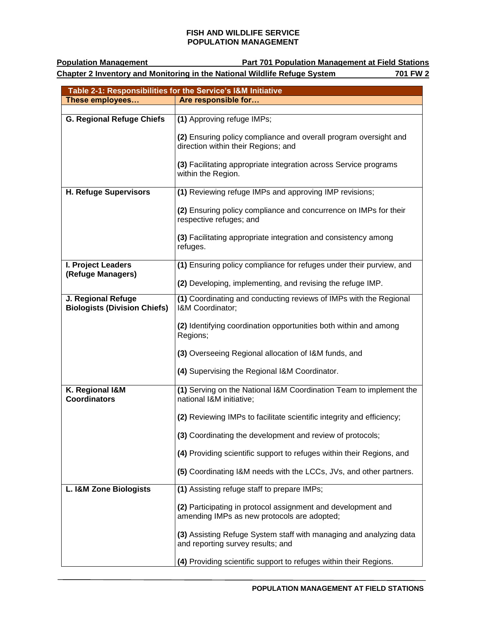**Population Management Part 701 Population Management at Field Stations Chapter 2 Inventory and Monitoring in the National Wildlife Refuge System 701 FW 2**

| Table 2-1: Responsibilities for the Service's I&M Initiative |                                                                            |  |  |
|--------------------------------------------------------------|----------------------------------------------------------------------------|--|--|
| These employees                                              | Are responsible for                                                        |  |  |
|                                                              |                                                                            |  |  |
| G. Regional Refuge Chiefs                                    | (1) Approving refuge IMPs;                                                 |  |  |
|                                                              | (2) Ensuring policy compliance and overall program oversight and           |  |  |
|                                                              | direction within their Regions; and                                        |  |  |
|                                                              | (3) Facilitating appropriate integration across Service programs           |  |  |
|                                                              | within the Region.                                                         |  |  |
|                                                              |                                                                            |  |  |
| <b>H. Refuge Supervisors</b>                                 | (1) Reviewing refuge IMPs and approving IMP revisions;                     |  |  |
|                                                              | (2) Ensuring policy compliance and concurrence on IMPs for their           |  |  |
|                                                              | respective refuges; and                                                    |  |  |
|                                                              |                                                                            |  |  |
|                                                              | (3) Facilitating appropriate integration and consistency among<br>refuges. |  |  |
|                                                              |                                                                            |  |  |
| I. Project Leaders                                           | (1) Ensuring policy compliance for refuges under their purview, and        |  |  |
| (Refuge Managers)                                            |                                                                            |  |  |
|                                                              | (2) Developing, implementing, and revising the refuge IMP.                 |  |  |
| J. Regional Refuge                                           | (1) Coordinating and conducting reviews of IMPs with the Regional          |  |  |
| <b>Biologists (Division Chiefs)</b>                          | I&M Coordinator;                                                           |  |  |
|                                                              | (2) Identifying coordination opportunities both within and among           |  |  |
|                                                              | Regions;                                                                   |  |  |
|                                                              | (3) Overseeing Regional allocation of I&M funds, and                       |  |  |
|                                                              |                                                                            |  |  |
|                                                              | (4) Supervising the Regional I&M Coordinator.                              |  |  |
| K. Regional I&M                                              | (1) Serving on the National I&M Coordination Team to implement the         |  |  |
| <b>Coordinators</b>                                          | national I&M initiative;                                                   |  |  |
|                                                              |                                                                            |  |  |
|                                                              | (2) Reviewing IMPs to facilitate scientific integrity and efficiency;      |  |  |
|                                                              | (3) Coordinating the development and review of protocols;                  |  |  |
|                                                              |                                                                            |  |  |
|                                                              | (4) Providing scientific support to refuges within their Regions, and      |  |  |
|                                                              | (5) Coordinating I&M needs with the LCCs, JVs, and other partners.         |  |  |
| L. I&M Zone Biologists                                       | (1) Assisting refuge staff to prepare IMPs;                                |  |  |
|                                                              |                                                                            |  |  |
|                                                              | (2) Participating in protocol assignment and development and               |  |  |
|                                                              | amending IMPs as new protocols are adopted;                                |  |  |
|                                                              | (3) Assisting Refuge System staff with managing and analyzing data         |  |  |
|                                                              | and reporting survey results; and                                          |  |  |
|                                                              |                                                                            |  |  |
|                                                              | (4) Providing scientific support to refuges within their Regions.          |  |  |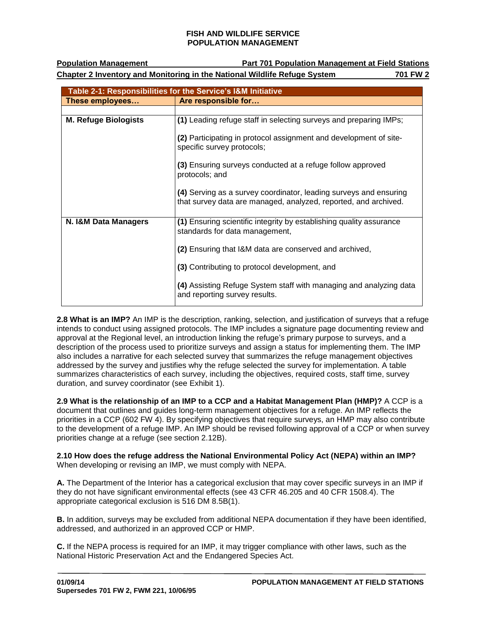**Population Management Part 701 Population Management at Field Stations**

**Chapter 2 Inventory and Monitoring in the National Wildlife Refuge System 701 FW 2**

| Table 2-1: Responsibilities for the Service's I&M Initiative |                                                                                                                                      |  |
|--------------------------------------------------------------|--------------------------------------------------------------------------------------------------------------------------------------|--|
| These employees                                              | Are responsible for                                                                                                                  |  |
|                                                              |                                                                                                                                      |  |
| <b>M. Refuge Biologists</b>                                  | (1) Leading refuge staff in selecting surveys and preparing IMPs;                                                                    |  |
|                                                              | (2) Participating in protocol assignment and development of site-<br>specific survey protocols;                                      |  |
|                                                              | (3) Ensuring surveys conducted at a refuge follow approved<br>protocols; and                                                         |  |
|                                                              | (4) Serving as a survey coordinator, leading surveys and ensuring<br>that survey data are managed, analyzed, reported, and archived. |  |
| N. I&M Data Managers                                         | (1) Ensuring scientific integrity by establishing quality assurance<br>standards for data management,                                |  |
|                                                              | (2) Ensuring that I&M data are conserved and archived,                                                                               |  |
|                                                              | (3) Contributing to protocol development, and                                                                                        |  |
|                                                              | (4) Assisting Refuge System staff with managing and analyzing data<br>and reporting survey results.                                  |  |

**2.8 What is an IMP?** An IMP is the description, ranking, selection, and justification of surveys that a refuge intends to conduct using assigned protocols. The IMP includes a signature page documenting review and approval at the Regional level, an introduction linking the refuge's primary purpose to surveys, and a description of the process used to prioritize surveys and assign a status for implementing them. The IMP also includes a narrative for each selected survey that summarizes the refuge management objectives addressed by the survey and justifies why the refuge selected the survey for implementation. A table summarizes characteristics of each survey, including the objectives, required costs, staff time, survey duration, and survey coordinator (see Exhibit 1).

**2.9 What is the relationship of an IMP to a CCP and a Habitat Management Plan (HMP)?** A CCP is a document that outlines and guides long-term management objectives for a refuge. An IMP reflects the priorities in a CCP (602 FW 4). By specifying objectives that require surveys, an HMP may also contribute to the development of a refuge IMP. An IMP should be revised following approval of a CCP or when survey priorities change at a refuge (see section 2.12B).

**2.10 How does the refuge address the National Environmental Policy Act (NEPA) within an IMP?** When developing or revising an IMP, we must comply with NEPA.

**A.** The Department of the Interior has a categorical exclusion that may cover specific surveys in an IMP if they do not have significant environmental effects (see 43 CFR 46.205 and 40 CFR 1508.4). The appropriate categorical exclusion is 516 DM 8.5B(1).

**B.** In addition, surveys may be excluded from additional NEPA documentation if they have been identified, addressed, and authorized in an approved CCP or HMP.

**C.** If the NEPA process is required for an IMP, it may trigger compliance with other laws, such as the National Historic Preservation Act and the Endangered Species Act.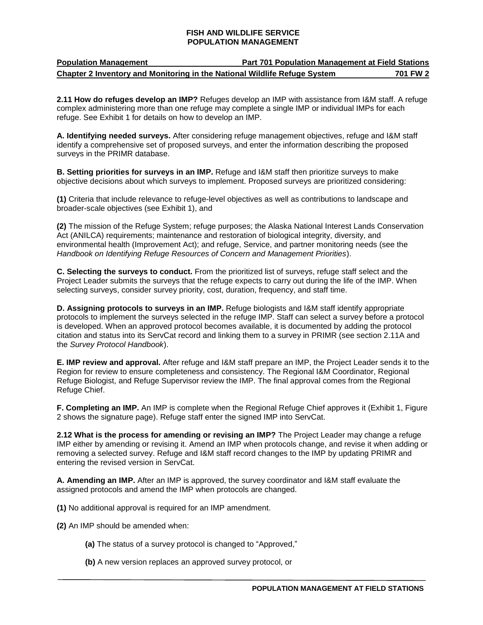| <b>Population Management</b>                                              | <b>Part 701 Population Management at Field Stations</b> |          |
|---------------------------------------------------------------------------|---------------------------------------------------------|----------|
| Chapter 2 Inventory and Monitoring in the National Wildlife Refuge System |                                                         | 701 FW 2 |

**2.11 How do refuges develop an IMP?** Refuges develop an IMP with assistance from I&M staff. A refuge complex administering more than one refuge may complete a single IMP or individual IMPs for each refuge. See Exhibit 1 for details on how to develop an IMP.

**A. Identifying needed surveys.** After considering refuge management objectives, refuge and I&M staff identify a comprehensive set of proposed surveys, and enter the information describing the proposed surveys in the PRIMR database.

**B. Setting priorities for surveys in an IMP.** Refuge and I&M staff then prioritize surveys to make objective decisions about which surveys to implement. Proposed surveys are prioritized considering:

**(1)** Criteria that include relevance to refuge-level objectives as well as contributions to landscape and broader-scale objectives (see Exhibit 1), and

**(2)** The mission of the Refuge System; refuge purposes; the Alaska National Interest Lands Conservation Act (ANILCA) requirements; maintenance and restoration of biological integrity, diversity, and environmental health (Improvement Act); and refuge, Service, and partner monitoring needs (see the *Handbook on Identifying Refuge Resources of Concern and Management Priorities*).

**C. Selecting the surveys to conduct.** From the prioritized list of surveys, refuge staff select and the Project Leader submits the surveys that the refuge expects to carry out during the life of the IMP. When selecting surveys, consider survey priority, cost, duration, frequency, and staff time.

**D. Assigning protocols to surveys in an IMP.** Refuge biologists and I&M staff identify appropriate protocols to implement the surveys selected in the refuge IMP. Staff can select a survey before a protocol is developed. When an approved protocol becomes available, it is documented by adding the protocol citation and status into its ServCat record and linking them to a survey in PRIMR (see section 2.11A and the *Survey Protocol Handbook*).

**E. IMP review and approval.** After refuge and I&M staff prepare an IMP, the Project Leader sends it to the Region for review to ensure completeness and consistency. The Regional I&M Coordinator, Regional Refuge Biologist, and Refuge Supervisor review the IMP. The final approval comes from the Regional Refuge Chief.

**F. Completing an IMP.** An IMP is complete when the Regional Refuge Chief approves it (Exhibit 1, Figure 2 shows the signature page). Refuge staff enter the signed IMP into ServCat.

**2.12 What is the process for amending or revising an IMP?** The Project Leader may change a refuge IMP either by amending or revising it. Amend an IMP when protocols change, and revise it when adding or removing a selected survey. Refuge and I&M staff record changes to the IMP by updating PRIMR and entering the revised version in ServCat.

**A. Amending an IMP.** After an IMP is approved, the survey coordinator and I&M staff evaluate the assigned protocols and amend the IMP when protocols are changed.

**(1)** No additional approval is required for an IMP amendment.

- **(2)** An IMP should be amended when:
	- **(a)** The status of a survey protocol is changed to "Approved,"
	- **(b)** A new version replaces an approved survey protocol, or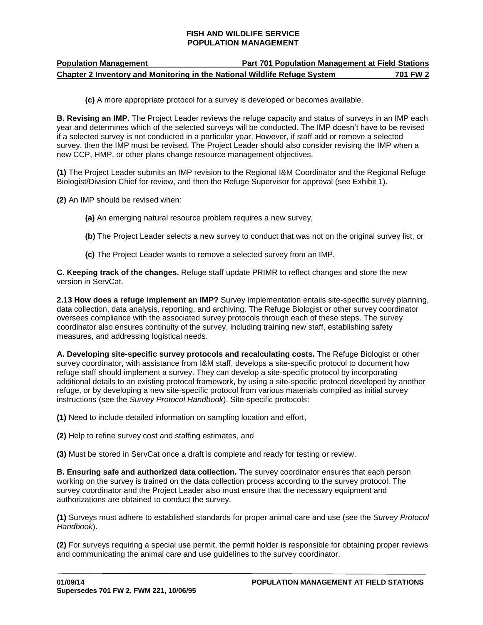| <b>Population Management</b>                                              | <b>Part 701 Population Management at Field Stations</b> |          |
|---------------------------------------------------------------------------|---------------------------------------------------------|----------|
| Chapter 2 Inventory and Monitoring in the National Wildlife Refuge System |                                                         | 701 FW 2 |

**(c)** A more appropriate protocol for a survey is developed or becomes available.

**B. Revising an IMP.** The Project Leader reviews the refuge capacity and status of surveys in an IMP each year and determines which of the selected surveys will be conducted. The IMP doesn't have to be revised if a selected survey is not conducted in a particular year. However, if staff add or remove a selected survey, then the IMP must be revised. The Project Leader should also consider revising the IMP when a new CCP, HMP, or other plans change resource management objectives.

**(1)** The Project Leader submits an IMP revision to the Regional I&M Coordinator and the Regional Refuge Biologist/Division Chief for review, and then the Refuge Supervisor for approval (see Exhibit 1).

**(2)** An IMP should be revised when:

- **(a)** An emerging natural resource problem requires a new survey,
- **(b)** The Project Leader selects a new survey to conduct that was not on the original survey list, or
- **(c)** The Project Leader wants to remove a selected survey from an IMP.

**C. Keeping track of the changes.** Refuge staff update PRIMR to reflect changes and store the new version in ServCat.

**2.13 How does a refuge implement an IMP?** Survey implementation entails site-specific survey planning, data collection, data analysis, reporting, and archiving. The Refuge Biologist or other survey coordinator oversees compliance with the associated survey protocols through each of these steps. The survey coordinator also ensures continuity of the survey, including training new staff, establishing safety measures, and addressing logistical needs.

**A. Developing site-specific survey protocols and recalculating costs.** The Refuge Biologist or other survey coordinator, with assistance from I&M staff, develops a site-specific protocol to document how refuge staff should implement a survey. They can develop a site-specific protocol by incorporating additional details to an existing protocol framework, by using a site-specific protocol developed by another refuge, or by developing a new site-specific protocol from various materials compiled as initial survey instructions (see the *Survey Protocol Handbook*). Site-specific protocols:

**(1)** Need to include detailed information on sampling location and effort,

**(2)** Help to refine survey cost and staffing estimates, and

**(3)** Must be stored in ServCat once a draft is complete and ready for testing or review.

**B. Ensuring safe and authorized data collection.** The survey coordinator ensures that each person working on the survey is trained on the data collection process according to the survey protocol. The survey coordinator and the Project Leader also must ensure that the necessary equipment and authorizations are obtained to conduct the survey.

**(1)** Surveys must adhere to established standards for proper animal care and use (see the *Survey Protocol Handbook*).

**(2)** For surveys requiring a special use permit, the permit holder is responsible for obtaining proper reviews and communicating the animal care and use guidelines to the survey coordinator.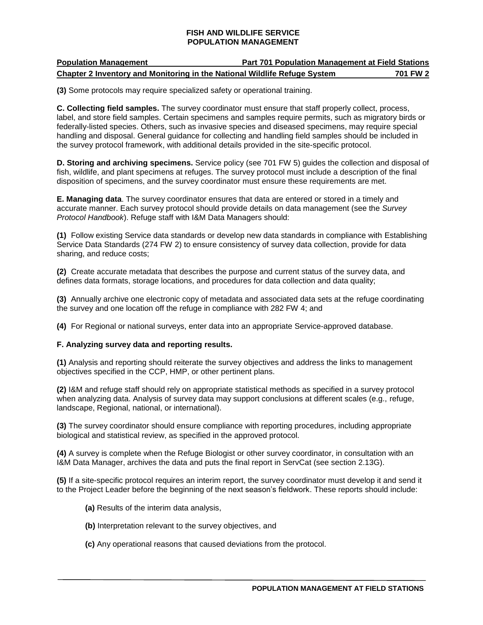## **Population Management Part 701 Population Management at Field Stations Chapter 2 Inventory and Monitoring in the National Wildlife Refuge System 701 FW 2**

**(3)** Some protocols may require specialized safety or operational training.

**C. Collecting field samples.** The survey coordinator must ensure that staff properly collect, process, label, and store field samples. Certain specimens and samples require permits, such as migratory birds or federally-listed species. Others, such as invasive species and diseased specimens, may require special handling and disposal. General guidance for collecting and handling field samples should be included in the survey protocol framework, with additional details provided in the site-specific protocol.

**D. Storing and archiving specimens.** Service policy (see 701 FW 5) guides the collection and disposal of fish, wildlife, and plant specimens at refuges. The survey protocol must include a description of the final disposition of specimens, and the survey coordinator must ensure these requirements are met.

**E. Managing data**. The survey coordinator ensures that data are entered or stored in a timely and accurate manner. Each survey protocol should provide details on data management (see the *Survey Protocol Handbook*). Refuge staff with I&M Data Managers should:

**(1)** Follow existing Service data standards or develop new data standards in compliance with Establishing Service Data Standards (274 FW 2) to ensure consistency of survey data collection, provide for data sharing, and reduce costs;

**(2)** Create accurate metadata that describes the purpose and current status of the survey data, and defines data formats, storage locations, and procedures for data collection and data quality;

**(3)** Annually archive one electronic copy of metadata and associated data sets at the refuge coordinating the survey and one location off the refuge in compliance with 282 FW 4; and

**(4)** For Regional or national surveys, enter data into an appropriate Service-approved database.

#### **F. Analyzing survey data and reporting results.**

**(1)** Analysis and reporting should reiterate the survey objectives and address the links to management objectives specified in the CCP, HMP, or other pertinent plans.

**(2)** I&M and refuge staff should rely on appropriate statistical methods as specified in a survey protocol when analyzing data. Analysis of survey data may support conclusions at different scales (e.g., refuge, landscape, Regional, national, or international).

**(3)** The survey coordinator should ensure compliance with reporting procedures, including appropriate biological and statistical review, as specified in the approved protocol.

**(4)** A survey is complete when the Refuge Biologist or other survey coordinator, in consultation with an I&M Data Manager, archives the data and puts the final report in ServCat (see section 2.13G).

**(5)** If a site-specific protocol requires an interim report, the survey coordinator must develop it and send it to the Project Leader before the beginning of the next season's fieldwork. These reports should include:

- **(a)** Results of the interim data analysis,
- **(b)** Interpretation relevant to the survey objectives, and
- **(c)** Any operational reasons that caused deviations from the protocol.